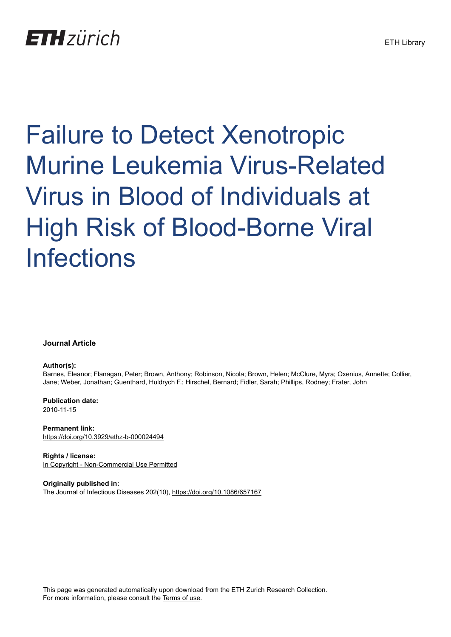## **ETH** zürich

# Failure to Detect Xenotropic Murine Leukemia Virus-Related Virus in Blood of Individuals at High Risk of Blood-Borne Viral Infections

## **Journal Article**

## **Author(s):**

Barnes, Eleanor; Flanagan, Peter; Brown, Anthony; Robinson, Nicola; Brown, Helen; McClure, Myra; Oxenius, Annette; Collier, Jane; Weber, Jonathan; Guenthard, Huldrych F.; Hirschel, Bernard; Fidler, Sarah; Phillips, Rodney; Frater, John

**Publication date:** 2010-11-15

**Permanent link:** <https://doi.org/10.3929/ethz-b-000024494>

**Rights / license:** [In Copyright - Non-Commercial Use Permitted](http://rightsstatements.org/page/InC-NC/1.0/)

**Originally published in:** The Journal of Infectious Diseases 202(10),<https://doi.org/10.1086/657167>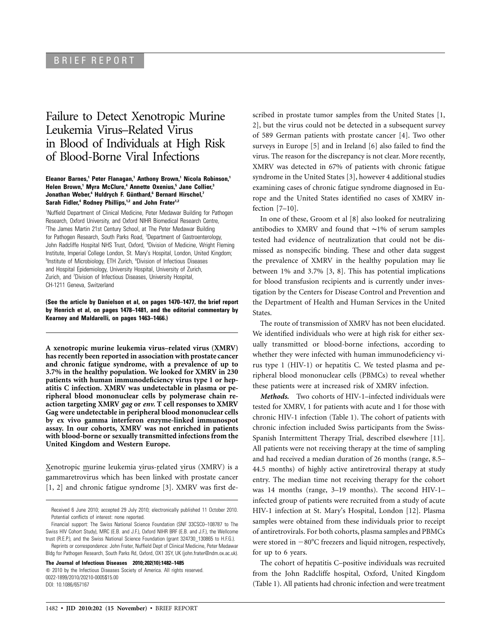## BRIEF REPORT

## Failure to Detect Xenotropic Murine Leukemia Virus–Related Virus in Blood of Individuals at High Risk of Blood-Borne Viral Infections

### **Eleanor Barnes,1 Peter Flanagan,1 Anthony Brown,1 Nicola Robinson,1 Helen Brown,1 Myra McClure,4 Annette Oxenius,5 Jane Collier,3 Jonathan Weber,4 Huldrych F. Gu¨nthard,6 Bernard Hirschel,7** Sarah Fidler,<sup>4</sup> Rodney Phillips,<sup>1,2</sup> and John Frater<sup>1,2</sup>

<sup>1</sup>Nuffield Department of Clinical Medicine, Peter Medawar Building for Pathogen Research, Oxford University, and Oxford NIHR Biomedical Research Centre, <sup>2</sup>The James Martin 21st Century School, at The Peter Medawar Building for Pathogen Research, South Parks Road, <sup>3</sup>Department of Gastroenterology, John Radcliffe Hospital NHS Trust, Oxford, <sup>4</sup>Division of Medicine, Wright Fleming Institute, Imperial College London, St. Mary's Hospital, London, United Kingdom; <sup>5</sup>Institute of Microbiology, ETH Zurich, <sup>6</sup>Division of Infectious Diseases and Hospital Epidemiology, University Hospital, University of Zurich, Zurich, and <sup>7</sup> Division of Infectious Diseases, University Hospital, CH-1211 Geneva, Switzerland

**(See the article by Danielson et al, on pages 1470–1477, the brief report by Henrich et al, on pages 1478–1481, and the editorial commentary by Kearney and Maldarelli, on pages 1463–1466.)**

**A xenotropic murine leukemia virus–related virus (XMRV) has recently been reported in association with prostate cancer and chronic fatigue syndrome, with a prevalence of up to 3.7% in the healthy population. We looked for XMRV in 230 patients with human immunodeficiency virus type 1 or hepatitis C infection. XMRV was undetectable in plasma or peripheral blood mononuclear cells by polymerase chain reaction targeting XMRV** *gag* **or** *env.* **T cell responses to XMRV Gag were undetectable in peripheral blood mononuclear cells by ex vivo gamma interferon enzyme-linked immunospot assay. In our cohorts, XMRV was not enriched in patients with blood-borne or sexually transmitted infections from the United Kingdom and Western Europe.**

Xenotropic murine leukemia virus-related virus (XMRV) is a gammaretrovirus which has been linked with prostate cancer [1, 2] and chronic fatigue syndrome [3]. XMRV was first de-

Reprints or correspondence: John Frater, Nuffield Dept of Clinical Medicine, Peter Medawar Bldg for Pathogen Research, South Parks Rd, Oxford, OX1 3SY, UK (john.frater@ndm.ox.ac.uk).

**The Journal of Infectious Diseases 2010; 202(10):1482–1485**

 $\odot$  2010 by the Infectious Diseases Society of America. All rights reserved. 0022-1899/2010/20210-0005\$15.00 DOI: 10.1086/657167

scribed in prostate tumor samples from the United States [1, 2], but the virus could not be detected in a subsequent survey of 589 German patients with prostate cancer [4]. Two other surveys in Europe [5] and in Ireland [6] also failed to find the virus. The reason for the discrepancy is not clear. More recently, XMRV was detected in 67% of patients with chronic fatigue syndrome in the United States [3], however 4 additional studies examining cases of chronic fatigue syndrome diagnosed in Europe and the United States identified no cases of XMRV infection [7–10].

In one of these, Groom et al [8] also looked for neutralizing antibodies to XMRV and found that ∼1% of serum samples tested had evidence of neutralization that could not be dismissed as nonspecific binding. These and other data suggest the prevalence of XMRV in the healthy population may lie between 1% and 3.7% [3, 8]. This has potential implications for blood transfusion recipients and is currently under investigation by the Centers for Disease Control and Prevention and the Department of Health and Human Services in the United States.

The route of transmission of XMRV has not been elucidated. We identified individuals who were at high risk for either sexually transmitted or blood-borne infections, according to whether they were infected with human immunodeficiency virus type 1 (HIV-1) or hepatitis C. We tested plasma and peripheral blood mononuclear cells (PBMCs) to reveal whether these patients were at increased risk of XMRV infection.

*Methods.* Two cohorts of HIV-1–infected individuals were tested for XMRV, 1 for patients with acute and 1 for those with chronic HIV-1 infection (Table 1). The cohort of patients with chronic infection included Swiss participants from the Swiss-Spanish Intermittent Therapy Trial, described elsewhere [11]. All patients were not receiving therapy at the time of sampling and had received a median duration of 26 months (range, 8.5– 44.5 months) of highly active antiretroviral therapy at study entry. The median time not receiving therapy for the cohort was 14 months (range, 3–19 months). The second HIV-1– infected group of patients were recruited from a study of acute HIV-1 infection at St. Mary's Hospital, London [12]. Plasma samples were obtained from these individuals prior to receipt of antiretrovirals. For both cohorts, plasma samples and PBMCs were stored in  $-80^{\circ}$ C freezers and liquid nitrogen, respectively, for up to 6 years.

The cohort of hepatitis C–positive individuals was recruited from the John Radcliffe hospital, Oxford, United Kingdom (Table 1). All patients had chronic infection and were treatment

Received 6 June 2010; accepted 29 July 2010; electronically published 11 October 2010. Potential conflicts of interest: none reported.

Financial support: The Swiss National Science Foundation (SNF 33CSC0–108787 to The Swiss HIV Cohort Study), MRC (E.B. and J.F.), Oxford NIHR BRF (E.B. and J.F.), the Wellcome trust (R.E.P.), and the Swiss National Science Foundation (grant 324730\_130865 to H.F.G.).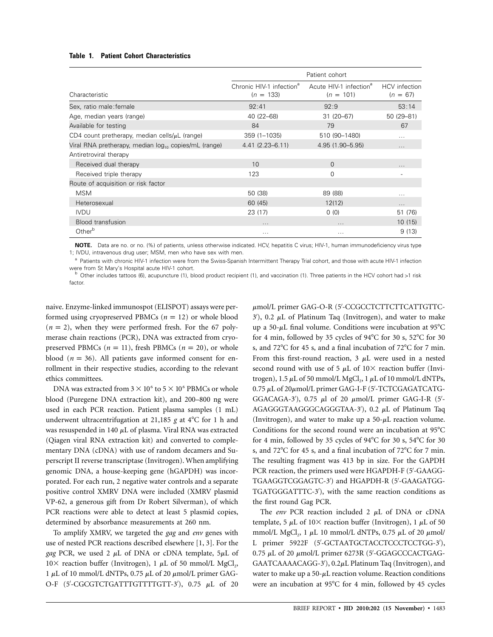## **Table 1. Patient Cohort Characteristics**

|                                                                  | Patient cohort                                      |                                                   |                                    |
|------------------------------------------------------------------|-----------------------------------------------------|---------------------------------------------------|------------------------------------|
| Characteristic                                                   | Chronic HIV-1 infection <sup>a</sup><br>$(n = 133)$ | Acute HIV-1 infection <sup>a</sup><br>$(n = 101)$ | <b>HCV</b> infection<br>$(n = 67)$ |
| Sex, ratio male: female                                          | 92:41                                               | 92:9                                              | 53:14                              |
| Age, median years (range)                                        | 40 (22-68)                                          | $31(20-67)$                                       | 50 (29-81)                         |
| Available for testing                                            | 84                                                  | 79                                                | 67                                 |
| CD4 count pretherapy, median cells/ $\mu$ L (range)              | 359 (1-1035)                                        | 510 (90-1480)                                     | $\cdots$                           |
| Viral RNA pretherapy, median log <sub>10</sub> copies/mL (range) | $4.41(2.23 - 6.11)$                                 | 4.95 (1.90-5.95)                                  | $\cdots$                           |
| Antiretroviral therapy                                           |                                                     |                                                   |                                    |
| Received dual therapy                                            | 10                                                  | $\Omega$                                          | $\cdots$                           |
| Received triple therapy                                          | 123                                                 | $\Omega$                                          |                                    |
| Route of acquisition or risk factor                              |                                                     |                                                   |                                    |
| <b>MSM</b>                                                       | 50 (38)                                             | 89 (88)                                           | $\cdots$                           |
| Heterosexual                                                     | 60 (45)                                             | 12(12)                                            | $\cdots$                           |
| <b>IVDU</b>                                                      | 23 (17)                                             | 0(0)                                              | 51 (76)                            |
| <b>Blood transfusion</b>                                         |                                                     |                                                   | 10(15)                             |
| Other <sup>b</sup>                                               | $\cdots$                                            | $\cdots$                                          | 9(13)                              |

**NOTE.** Data are no. or no. (%) of patients, unless otherwise indicated. HCV, hepatitis C virus; HIV-1, human immunodeficiency virus type 1; IVDU, intravenous drug user; MSM, men who have sex with men.

<sup>a</sup> Patients with chronic HIV-1 infection were from the Swiss-Spanish Intermittent Therapy Trial cohort, and those with acute HIV-1 infection were from St Mary's Hospital acute HIV-1 cohort.<br><sup>b</sup> Other includes tattoos (6), acupuncture (1), blood product recipient (1), and vaccination (1). Three patients in the HCV cohort had >1 risk

factor.

naive. Enzyme-linked immunospot (ELISPOT) assays were performed using cryopreserved PBMCs ( $n = 12$ ) or whole blood  $(n = 2)$ , when they were performed fresh. For the 67 polymerase chain reactions (PCR), DNA was extracted from cryopreserved PBMCs ( $n = 11$ ), fresh PBMCs ( $n = 20$ ), or whole blood ( $n = 36$ ). All patients gave informed consent for enrollment in their respective studies, according to the relevant ethics committees.

DNA was extracted from 3  $\times$  10<sup>6</sup> to 5  $\times$  10<sup>6</sup> PBMCs or whole blood (Puregene DNA extraction kit), and 200–800 ng were used in each PCR reaction. Patient plasma samples (1 mL) underwent ultracentrifugation at 21,185 g at 4°C for 1 h and was resuspended in 140  $\mu$ L of plasma. Viral RNA was extracted (Qiagen viral RNA extraction kit) and converted to complementary DNA (cDNA) with use of random decamers and Superscript II reverse transcriptase (Invitrogen). When amplifying genomic DNA, a house-keeping gene (hGAPDH) was incorporated. For each run, 2 negative water controls and a separate positive control XMRV DNA were included (XMRV plasmid VP-62, a generous gift from Dr Robert Silverman), of which PCR reactions were able to detect at least 5 plasmid copies, determined by absorbance measurements at 260 nm.

To amplify XMRV, we targeted the *gag* and *env* genes with use of nested PCR reactions described elsewhere [1, 3]. For the *gag* PCR, we used 2  $\mu$ L of DNA or cDNA template,  $5\mu$ L of  $10\times$  reaction buffer (Invitrogen), 1  $\mu$ L of 50 mmol/L MgCl<sub>2</sub>, 1  $\mu$ L of 10 mmol/L dNTPs, 0.75  $\mu$ L of 20  $\mu$ mol/L primer GAG-O-F (5'-CGCGTCTGATTTGTTTTGTT-3'),  $0.75$   $\mu$ L of 20

 $\mu$ mol/L primer GAG-O-R (5'-CCGCCTCTTCTTCATTGTTC- $3'$ ), 0.2  $\mu$ L of Platinum Taq (Invitrogen), and water to make up a 50- $\mu$ L final volume. Conditions were incubation at 95 $^{\circ}$ C for 4 min, followed by 35 cycles of  $94^{\circ}$ C for 30 s, 52 $^{\circ}$ C for 30 s, and  $72^{\circ}$ C for 45 s, and a final incubation of  $72^{\circ}$ C for 7 min. From this first-round reaction, 3  $\mu$ L were used in a nested second round with use of 5  $\mu$ L of 10× reaction buffer (Invitrogen), 1.5  $\mu$ L of 50 mmol/L MgCl<sub>2</sub>, 1  $\mu$ L of 10 mmol/L dNTPs, 0.75 µL of 20µmol/L primer GAG-I-F (5'-TCTCGAGATCATG-GGACAGA-3'), 0.75  $\mu$ l of 20  $\mu$ mol/L primer GAG-I-R (5'-AGAGGGTAAGGGCAGGGTAA-3'), 0.2 µL of Platinum Taq (Invitrogen), and water to make up a  $50-\mu$ L reaction volume. Conditions for the second round were an incubation at  $95^{\circ}$ C for 4 min, followed by 35 cycles of  $94^{\circ}$ C for 30 s, 54 $^{\circ}$ C for 30 s, and 72°C for 45 s, and a final incubation of 72°C for 7 min. The resulting fragment was 413 bp in size. For the GAPDH PCR reaction, the primers used were HGAPDH-F (5'-GAAGG-TGAAGGTCGGAGTC-3') and HGAPDH-R (5'-GAAGATGG-TGATGGGATTTC-3'), with the same reaction conditions as the first round Gag PCR.

The *env* PCR reaction included 2  $\mu$ L of DNA or cDNA template, 5  $\mu$ L of 10 $\times$  reaction buffer (Invitrogen), 1  $\mu$ L of 50 mmol/L MgCl<sub>2</sub>, 1  $\mu$ L 10 mmol/L dNTPs, 0.75  $\mu$ L of 20  $\mu$ mol/ L primer 5922F (5'-GCTAATGCTACCTCCCTCCTGG-3'), 0.75 µL of 20 µmol/L primer 6273R (5'-GGAGCCCACTGAG-GAATCAAAACAGG-3'), 0.2µL Platinum Taq (Invitrogen), and water to make up a 50- $\mu$ L reaction volume. Reaction conditions were an incubation at 95°C for 4 min, followed by 45 cycles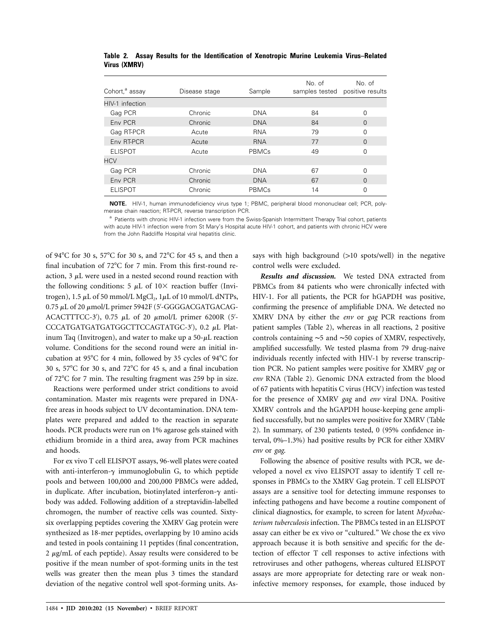| Cohort, <sup>a</sup> assay | Disease stage | Sample     | No. of<br>samples tested positive results | No. of   |
|----------------------------|---------------|------------|-------------------------------------------|----------|
| HIV-1 infection            |               |            |                                           |          |
| Gag PCR                    | Chronic       | <b>DNA</b> | 84                                        | 0        |
| Env PCR                    | Chronic       | <b>DNA</b> | 84                                        | $\Omega$ |
| Gag RT-PCR                 | Acute         | <b>RNA</b> | 79                                        | 0        |
| Env RT-PCR                 | Acute         | <b>RNA</b> | 77                                        | $\Omega$ |
| <b>ELISPOT</b>             | Acute         | PBMCs      | 49                                        | O        |
| <b>HCV</b>                 |               |            |                                           |          |
| Gag PCR                    | Chronic       | <b>DNA</b> | 67                                        | U        |
| Env PCR                    | Chronic       | <b>DNA</b> | 67                                        | $\Omega$ |
| <b>ELISPOT</b>             | Chronic       | PBMCs      | 14                                        | 0        |

**Table 2. Assay Results for the Identification of Xenotropic Murine Leukemia Virus–Related Virus (XMRV)**

**NOTE.** HIV-1, human immunodeficiency virus type 1; PBMC, peripheral blood mononuclear cell; PCR, polymerase chain reaction; RT-PCR, reverse transcription PCR.

<sup>a</sup> Patients with chronic HIV-1 infection were from the Swiss-Spanish Intermittent Therapy Trial cohort, patients with acute HIV-1 infection were from St Mary's Hospital acute HIV-1 cohort, and patients with chronic HCV were from the John Radcliffe Hospital viral hepatitis clinic.

of 94°C for 30 s, 57°C for 30 s, and 72°C for 45 s, and then a final incubation of  $72^{\circ}$ C for 7 min. From this first-round reaction,  $3 \mu$ L were used in a nested second round reaction with the following conditions: 5  $\mu$ L of 10× reaction buffer (Invitrogen), 1.5  $\mu$ L of 50 mmol/L MgCl<sub>2</sub>, 1 $\mu$ L of 10 mmol/L dNTPs, 0.75 µL of 20 µmol/L primer 5942F (5'-GGGGACGATGACAG-ACACTTTCC-3'), 0.75  $\mu$ L of 20  $\mu$ mol/L primer 6200R (5'-CCCATGATGATGATGGCTTCCAGTATGC-3'), 0.2 µL Platinum Taq (Invitrogen), and water to make up a  $50-\mu$ L reaction volume. Conditions for the second round were an initial incubation at 95°C for 4 min, followed by 35 cycles of 94°C for 30 s,  $57^{\circ}$ C for 30 s, and  $72^{\circ}$ C for 45 s, and a final incubation of 72C for 7 min. The resulting fragment was 259 bp in size.

Reactions were performed under strict conditions to avoid contamination. Master mix reagents were prepared in DNAfree areas in hoods subject to UV decontamination. DNA templates were prepared and added to the reaction in separate hoods. PCR products were run on 1% agarose gels stained with ethidium bromide in a third area, away from PCR machines and hoods.

For ex vivo T cell ELISPOT assays, 96-well plates were coated with anti-interferon- $\gamma$  immunoglobulin G, to which peptide pools and between 100,000 and 200,000 PBMCs were added, in duplicate. After incubation, biotinylated interferon- $\gamma$  antibody was added. Following addition of a streptavidin-labelled chromogen, the number of reactive cells was counted. Sixtysix overlapping peptides covering the XMRV Gag protein were synthesized as 18-mer peptides, overlapping by 10 amino acids and tested in pools containing 11 peptides (final concentration,  $2 \mu$ g/mL of each peptide). Assay results were considered to be positive if the mean number of spot-forming units in the test wells was greater then the mean plus 3 times the standard deviation of the negative control well spot-forming units. Assays with high background (>10 spots/well) in the negative control wells were excluded.

*Results and discussion.* We tested DNA extracted from PBMCs from 84 patients who were chronically infected with HIV-1. For all patients, the PCR for hGAPDH was positive, confirming the presence of amplifiable DNA. We detected no XMRV DNA by either the *env* or *gag* PCR reactions from patient samples (Table 2), whereas in all reactions, 2 positive controls containing ∼5 and ∼50 copies of XMRV, respectively, amplified successfully. We tested plasma from 79 drug-naive individuals recently infected with HIV-1 by reverse transcription PCR. No patient samples were positive for XMRV *gag* or *env* RNA (Table 2). Genomic DNA extracted from the blood of 67 patients with hepatitis C virus (HCV) infection was tested for the presence of XMRV *gag* and *env* viral DNA. Positive XMRV controls and the hGAPDH house-keeping gene amplified successfully, but no samples were positive for XMRV (Table 2). In summary, of 230 patients tested, 0 (95% confidence interval, 0%–1.3%) had positive results by PCR for either XMRV *env* or *gag*.

Following the absence of positive results with PCR, we developed a novel ex vivo ELISPOT assay to identify T cell responses in PBMCs to the XMRV Gag protein. T cell ELISPOT assays are a sensitive tool for detecting immune responses to infecting pathogens and have become a routine component of clinical diagnostics, for example, to screen for latent *Mycobacterium tuberculosis* infection. The PBMCs tested in an ELISPOT assay can either be ex vivo or "cultured." We chose the ex vivo approach because it is both sensitive and specific for the detection of effector T cell responses to active infections with retroviruses and other pathogens, whereas cultured ELISPOT assays are more appropriate for detecting rare or weak noninfective memory responses, for example, those induced by